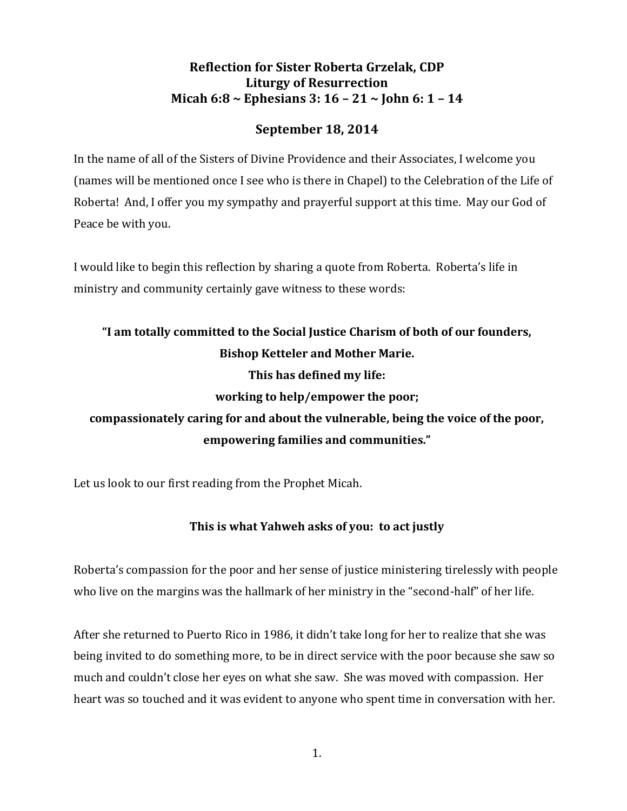# **Reflection for Sister Roberta Grzelak, CDP Liturgy of Resurrection Micah 6:8 ~ Ephesians 3: 16 – 21 ~ John 6: 1 – 14**

# **September 18, 2014**

In the name of all of the Sisters of Divine Providence and their Associates, I welcome you (names will be mentioned once I see who is there in Chapel) to the Celebration of the Life of Roberta! And, I offer you my sympathy and prayerful support at this time. May our God of Peace be with you.

I would like to begin this reflection by sharing a quote from Roberta. Roberta's life in ministry and community certainly gave witness to these words:

# **"I am totally committed to the Social Justice Charism of both of our founders, Bishop Ketteler and Mother Marie. This has defined my life: working to help/empower the poor;**

**compassionately caring for and about the vulnerable, being the voice of the poor, empowering families and communities."**

Let us look to our first reading from the Prophet Micah.

# **This is what Yahweh asks of you: to act justly**

Roberta's compassion for the poor and her sense of justice ministering tirelessly with people who live on the margins was the hallmark of her ministry in the "second-half" of her life.

After she returned to Puerto Rico in 1986, it didn't take long for her to realize that she was being invited to do something more, to be in direct service with the poor because she saw so much and couldn't close her eyes on what she saw. She was moved with compassion. Her heart was so touched and it was evident to anyone who spent time in conversation with her.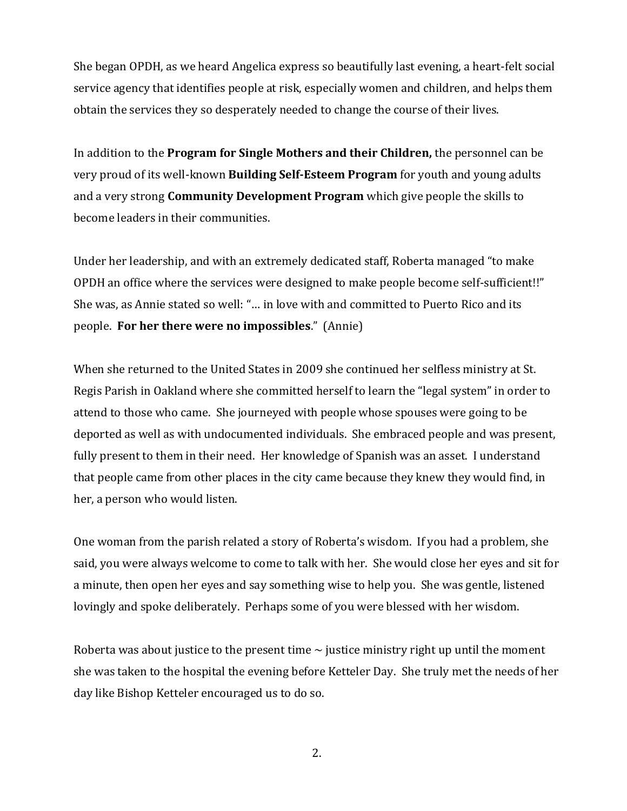She began OPDH, as we heard Angelica express so beautifully last evening, a heart-felt social service agency that identifies people at risk, especially women and children, and helps them obtain the services they so desperately needed to change the course of their lives.

In addition to the **Program for Single Mothers and their Children,** the personnel can be very proud of its well-known **Building Self-Esteem Program** for youth and young adults and a very strong **Community Development Program** which give people the skills to become leaders in their communities.

Under her leadership, and with an extremely dedicated staff, Roberta managed "to make OPDH an office where the services were designed to make people become self-sufficient!!" She was, as Annie stated so well: "… in love with and committed to Puerto Rico and its people. **For her there were no impossibles**." (Annie)

When she returned to the United States in 2009 she continued her selfless ministry at St. Regis Parish in Oakland where she committed herself to learn the "legal system" in order to attend to those who came. She journeyed with people whose spouses were going to be deported as well as with undocumented individuals. She embraced people and was present, fully present to them in their need. Her knowledge of Spanish was an asset. I understand that people came from other places in the city came because they knew they would find, in her, a person who would listen.

One woman from the parish related a story of Roberta's wisdom. If you had a problem, she said, you were always welcome to come to talk with her. She would close her eyes and sit for a minute, then open her eyes and say something wise to help you. She was gentle, listened lovingly and spoke deliberately. Perhaps some of you were blessed with her wisdom.

Roberta was about justice to the present time  $\sim$  justice ministry right up until the moment she was taken to the hospital the evening before Ketteler Day. She truly met the needs of her day like Bishop Ketteler encouraged us to do so.

2.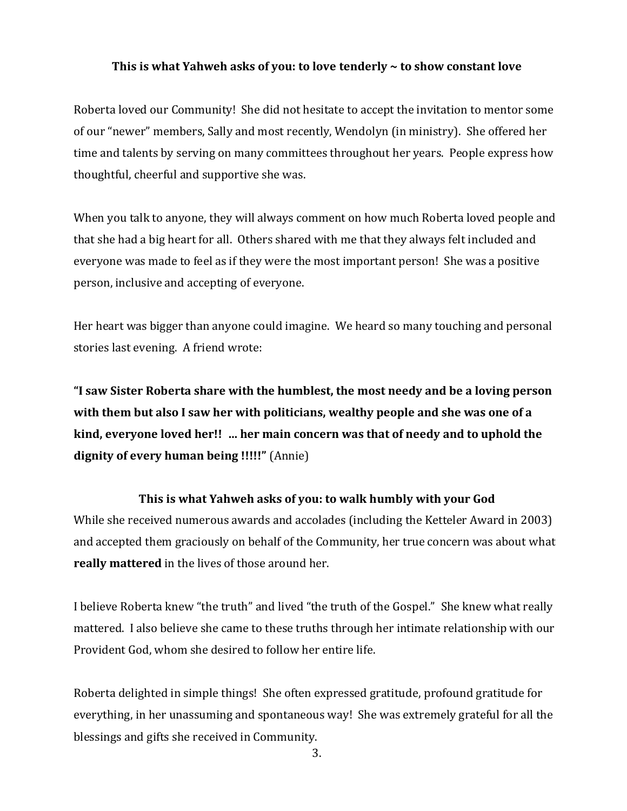#### **This is what Yahweh asks of you: to love tenderly ~ to show constant love**

Roberta loved our Community! She did not hesitate to accept the invitation to mentor some of our "newer" members, Sally and most recently, Wendolyn (in ministry). She offered her time and talents by serving on many committees throughout her years. People express how thoughtful, cheerful and supportive she was.

When you talk to anyone, they will always comment on how much Roberta loved people and that she had a big heart for all. Others shared with me that they always felt included and everyone was made to feel as if they were the most important person! She was a positive person, inclusive and accepting of everyone.

Her heart was bigger than anyone could imagine. We heard so many touching and personal stories last evening. A friend wrote:

**"I saw Sister Roberta share with the humblest, the most needy and be a loving person with them but also I saw her with politicians, wealthy people and she was one of a kind, everyone loved her!! … her main concern was that of needy and to uphold the dignity of every human being !!!!!"** (Annie)

## **This is what Yahweh asks of you: to walk humbly with your God**

While she received numerous awards and accolades (including the Ketteler Award in 2003) and accepted them graciously on behalf of the Community, her true concern was about what **really mattered** in the lives of those around her.

I believe Roberta knew "the truth" and lived "the truth of the Gospel." She knew what really mattered. I also believe she came to these truths through her intimate relationship with our Provident God, whom she desired to follow her entire life.

Roberta delighted in simple things! She often expressed gratitude, profound gratitude for everything, in her unassuming and spontaneous way! She was extremely grateful for all the blessings and gifts she received in Community.